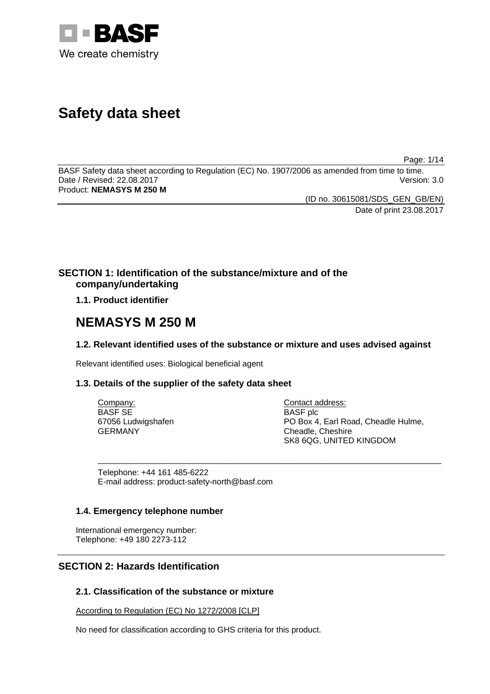

# **Safety data sheet**

Page: 1/14

BASF Safety data sheet according to Regulation (EC) No. 1907/2006 as amended from time to time. Date / Revised: 22.08.2017 Product: **NEMASYS M 250 M** 

> (ID no. 30615081/SDS\_GEN\_GB/EN) Date of print 23.08.2017

## **SECTION 1: Identification of the substance/mixture and of the company/undertaking**

## **1.1. Product identifier**

## **NEMASYS M 250 M**

## **1.2. Relevant identified uses of the substance or mixture and uses advised against**

\_\_\_\_\_\_\_\_\_\_\_\_\_\_\_\_\_\_\_\_\_\_\_\_\_\_\_\_\_\_\_\_\_\_\_\_\_\_\_\_\_\_\_\_\_\_\_\_\_\_\_\_\_\_\_\_\_\_\_\_\_\_\_\_\_\_\_\_\_\_\_\_\_\_\_

Relevant identified uses: Biological beneficial agent

## **1.3. Details of the supplier of the safety data sheet**

Company: BASF SE 67056 Ludwigshafen GERMANY

Contact address: BASF plc PO Box 4, Earl Road, Cheadle Hulme, Cheadle, Cheshire SK8 6QG, UNITED KINGDOM

Telephone: +44 161 485-6222 E-mail address: product-safety-north@basf.com

## **1.4. Emergency telephone number**

International emergency number: Telephone: +49 180 2273-112

## **SECTION 2: Hazards Identification**

## **2.1. Classification of the substance or mixture**

According to Regulation (EC) No 1272/2008 [CLP]

No need for classification according to GHS criteria for this product.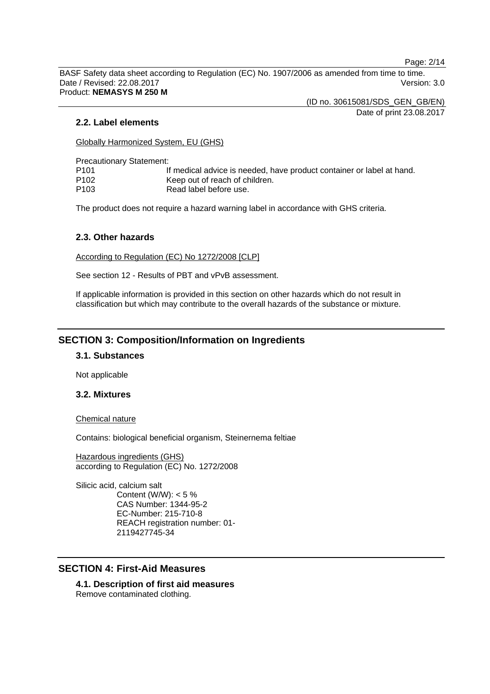Page: 2/14

BASF Safety data sheet according to Regulation (EC) No. 1907/2006 as amended from time to time. Date / Revised: 22.08.2017 Version: 3.0 Product: **NEMASYS M 250 M** 

(ID no. 30615081/SDS\_GEN\_GB/EN)

Date of print 23.08.2017

#### **2.2. Label elements**

Globally Harmonized System, EU (GHS)

Precautionary Statement:

| P101 | If medical advice is needed, have product container or label at hand. |
|------|-----------------------------------------------------------------------|
| P102 | Keep out of reach of children.                                        |
| P103 | Read label before use.                                                |

The product does not require a hazard warning label in accordance with GHS criteria.

#### **2.3. Other hazards**

According to Regulation (EC) No 1272/2008 [CLP]

See section 12 - Results of PBT and vPvB assessment.

If applicable information is provided in this section on other hazards which do not result in classification but which may contribute to the overall hazards of the substance or mixture.

## **SECTION 3: Composition/Information on Ingredients**

#### **3.1. Substances**

Not applicable

#### **3.2. Mixtures**

Chemical nature

Contains: biological beneficial organism, Steinernema feltiae

Hazardous ingredients (GHS) according to Regulation (EC) No. 1272/2008

Silicic acid, calcium salt Content (W/W):  $< 5 \%$ CAS Number: 1344-95-2 EC-Number: 215-710-8 REACH registration number: 01- 2119427745-34

## **SECTION 4: First-Aid Measures**

**4.1. Description of first aid measures**  Remove contaminated clothing.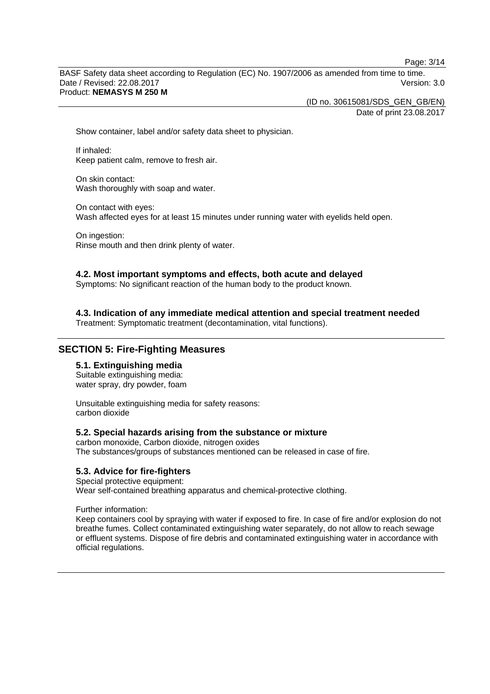Page: 3/14

BASF Safety data sheet according to Regulation (EC) No. 1907/2006 as amended from time to time. Date / Revised: 22.08.2017 Version: 3.0 Product: **NEMASYS M 250 M** 

(ID no. 30615081/SDS\_GEN\_GB/EN)

Date of print 23.08.2017

Show container, label and/or safety data sheet to physician.

If inhaled: Keep patient calm, remove to fresh air.

On skin contact: Wash thoroughly with soap and water.

On contact with eyes: Wash affected eyes for at least 15 minutes under running water with eyelids held open.

On ingestion: Rinse mouth and then drink plenty of water.

#### **4.2. Most important symptoms and effects, both acute and delayed**

Symptoms: No significant reaction of the human body to the product known.

**4.3. Indication of any immediate medical attention and special treatment needed** 

Treatment: Symptomatic treatment (decontamination, vital functions).

## **SECTION 5: Fire-Fighting Measures**

## **5.1. Extinguishing media**

Suitable extinguishing media: water spray, dry powder, foam

Unsuitable extinguishing media for safety reasons: carbon dioxide

#### **5.2. Special hazards arising from the substance or mixture**

carbon monoxide, Carbon dioxide, nitrogen oxides The substances/groups of substances mentioned can be released in case of fire.

#### **5.3. Advice for fire-fighters**

Special protective equipment: Wear self-contained breathing apparatus and chemical-protective clothing.

Further information:

Keep containers cool by spraying with water if exposed to fire. In case of fire and/or explosion do not breathe fumes. Collect contaminated extinguishing water separately, do not allow to reach sewage or effluent systems. Dispose of fire debris and contaminated extinguishing water in accordance with official regulations.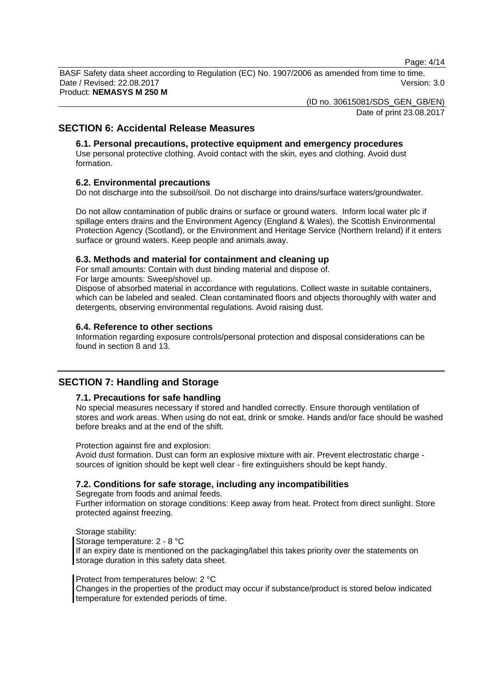Page: 4/14

BASF Safety data sheet according to Regulation (EC) No. 1907/2006 as amended from time to time. Date / Revised: 22.08.2017 Version: 3.0 Product: **NEMASYS M 250 M** 

(ID no. 30615081/SDS\_GEN\_GB/EN)

Date of print 23.08.2017

## **SECTION 6: Accidental Release Measures**

## **6.1. Personal precautions, protective equipment and emergency procedures**

Use personal protective clothing. Avoid contact with the skin, eyes and clothing. Avoid dust formation.

#### **6.2. Environmental precautions**

Do not discharge into the subsoil/soil. Do not discharge into drains/surface waters/groundwater.

Do not allow contamination of public drains or surface or ground waters. Inform local water plc if spillage enters drains and the Environment Agency (England & Wales), the Scottish Environmental Protection Agency (Scotland), or the Environment and Heritage Service (Northern Ireland) if it enters surface or ground waters. Keep people and animals away.

#### **6.3. Methods and material for containment and cleaning up**

For small amounts: Contain with dust binding material and dispose of.

For large amounts: Sweep/shovel up.

Dispose of absorbed material in accordance with regulations. Collect waste in suitable containers, which can be labeled and sealed. Clean contaminated floors and objects thoroughly with water and detergents, observing environmental regulations. Avoid raising dust.

#### **6.4. Reference to other sections**

Information regarding exposure controls/personal protection and disposal considerations can be found in section 8 and 13.

## **SECTION 7: Handling and Storage**

#### **7.1. Precautions for safe handling**

No special measures necessary if stored and handled correctly. Ensure thorough ventilation of stores and work areas. When using do not eat, drink or smoke. Hands and/or face should be washed before breaks and at the end of the shift.

Protection against fire and explosion:

Avoid dust formation. Dust can form an explosive mixture with air. Prevent electrostatic charge sources of ignition should be kept well clear - fire extinguishers should be kept handy.

## **7.2. Conditions for safe storage, including any incompatibilities**

Segregate from foods and animal feeds.

Further information on storage conditions: Keep away from heat. Protect from direct sunlight. Store protected against freezing.

Storage stability: Storage temperature: 2 - 8 °C If an expiry date is mentioned on the packaging/label this takes priority over the statements on storage duration in this safety data sheet.

#### Protect from temperatures below: 2 °C

Changes in the properties of the product may occur if substance/product is stored below indicated temperature for extended periods of time.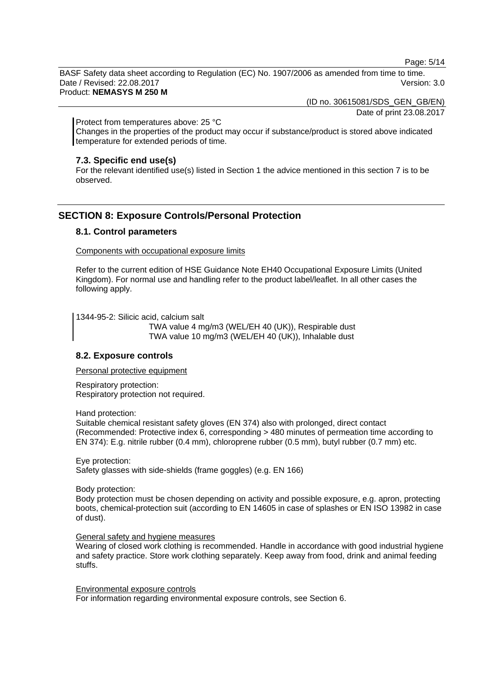Page: 5/14

BASF Safety data sheet according to Regulation (EC) No. 1907/2006 as amended from time to time. Date / Revised: 22.08.2017 Version: 3.0 Product: **NEMASYS M 250 M** 

(ID no. 30615081/SDS\_GEN\_GB/EN)

Date of print 23.08.2017

Protect from temperatures above: 25 °C

Changes in the properties of the product may occur if substance/product is stored above indicated temperature for extended periods of time.

#### **7.3. Specific end use(s)**

For the relevant identified use(s) listed in Section 1 the advice mentioned in this section 7 is to be observed.

## **SECTION 8: Exposure Controls/Personal Protection**

#### **8.1. Control parameters**

Components with occupational exposure limits

Refer to the current edition of HSE Guidance Note EH40 Occupational Exposure Limits (United Kingdom). For normal use and handling refer to the product label/leaflet. In all other cases the following apply.

1344-95-2: Silicic acid, calcium salt

 TWA value 4 mg/m3 (WEL/EH 40 (UK)), Respirable dust TWA value 10 mg/m3 (WEL/EH 40 (UK)), Inhalable dust

#### **8.2. Exposure controls**

Personal protective equipment

Respiratory protection: Respiratory protection not required.

Hand protection:

Suitable chemical resistant safety gloves (EN 374) also with prolonged, direct contact (Recommended: Protective index 6, corresponding > 480 minutes of permeation time according to EN 374): E.g. nitrile rubber (0.4 mm), chloroprene rubber (0.5 mm), butyl rubber (0.7 mm) etc.

Eye protection:

Safety glasses with side-shields (frame goggles) (e.g. EN 166)

Body protection:

Body protection must be chosen depending on activity and possible exposure, e.g. apron, protecting boots, chemical-protection suit (according to EN 14605 in case of splashes or EN ISO 13982 in case of dust).

#### General safety and hygiene measures

Wearing of closed work clothing is recommended. Handle in accordance with good industrial hygiene and safety practice. Store work clothing separately. Keep away from food, drink and animal feeding stuffs.

Environmental exposure controls For information regarding environmental exposure controls, see Section 6.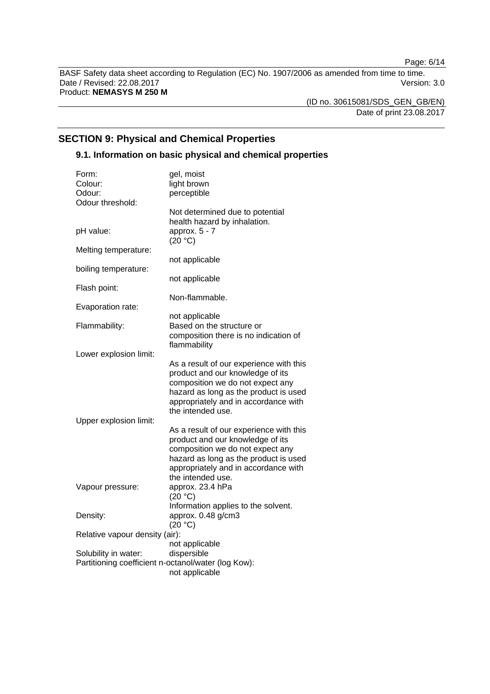Page: 6/14

BASF Safety data sheet according to Regulation (EC) No. 1907/2006 as amended from time to time. Date / Revised: 22.08.2017 Version: 3.0 Product: **NEMASYS M 250 M** 

(ID no. 30615081/SDS\_GEN\_GB/EN) Date of print 23.08.2017

## **SECTION 9: Physical and Chemical Properties**

## **9.1. Information on basic physical and chemical properties**

| Form:                                               | gel, moist                                                                                                                                                                                                            |
|-----------------------------------------------------|-----------------------------------------------------------------------------------------------------------------------------------------------------------------------------------------------------------------------|
| Colour:                                             | light brown                                                                                                                                                                                                           |
| Odour:                                              | perceptible                                                                                                                                                                                                           |
| Odour threshold:                                    |                                                                                                                                                                                                                       |
|                                                     | Not determined due to potential<br>health hazard by inhalation.<br>approx. 5 - 7                                                                                                                                      |
| pH value:                                           | (20 °C)                                                                                                                                                                                                               |
| Melting temperature:                                | not applicable                                                                                                                                                                                                        |
| boiling temperature:                                |                                                                                                                                                                                                                       |
| Flash point:                                        | not applicable                                                                                                                                                                                                        |
| Evaporation rate:                                   | Non-flammable.                                                                                                                                                                                                        |
|                                                     | not applicable                                                                                                                                                                                                        |
| Flammability:                                       | Based on the structure or<br>composition there is no indication of                                                                                                                                                    |
| Lower explosion limit:                              | flammability                                                                                                                                                                                                          |
| Upper explosion limit:                              | As a result of our experience with this<br>product and our knowledge of its<br>composition we do not expect any<br>hazard as long as the product is used<br>appropriately and in accordance with<br>the intended use. |
|                                                     | As a result of our experience with this<br>product and our knowledge of its<br>composition we do not expect any<br>hazard as long as the product is used<br>appropriately and in accordance with<br>the intended use. |
| Vapour pressure:                                    | approx. 23.4 hPa<br>(20 °C)                                                                                                                                                                                           |
| Density:                                            | Information applies to the solvent.<br>approx. 0.48 g/cm3<br>(20 °C)                                                                                                                                                  |
| Relative vapour density (air):                      |                                                                                                                                                                                                                       |
|                                                     | not applicable                                                                                                                                                                                                        |
| Solubility in water:                                | dispersible                                                                                                                                                                                                           |
| Partitioning coefficient n-octanol/water (log Kow): |                                                                                                                                                                                                                       |
|                                                     | not applicable                                                                                                                                                                                                        |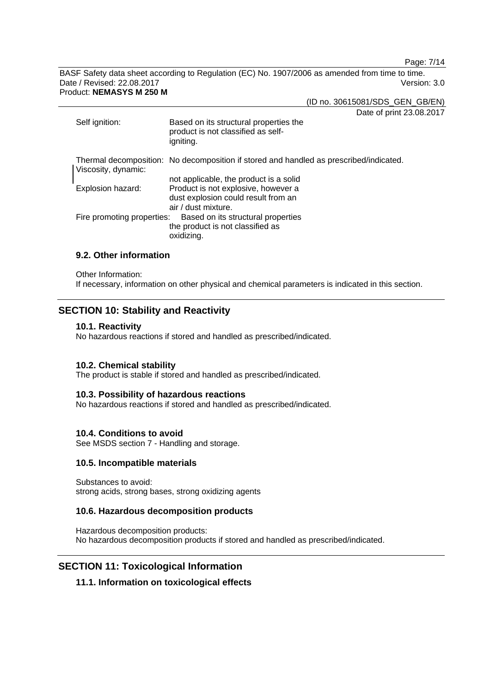Page: 7/14

BASF Safety data sheet according to Regulation (EC) No. 1907/2006 as amended from time to time. Date / Revised: 22.08.2017 Version: 3.0 Product: **NEMASYS M 250 M** 

(ID no. 30615081/SDS\_GEN\_GB/EN)

Date of print 23.08.2017

| Self ignition:             | 0<br>Based on its structural properties the<br>product is not classified as self-<br>igniting.                                              |
|----------------------------|---------------------------------------------------------------------------------------------------------------------------------------------|
| Viscosity, dynamic:        | Thermal decomposition: No decomposition if stored and handled as prescribed/indicated.                                                      |
| Explosion hazard:          | not applicable, the product is a solid<br>Product is not explosive, however a<br>dust explosion could result from an<br>air / dust mixture. |
| Fire promoting properties: | Based on its structural properties<br>the product is not classified as<br>oxidizing.                                                        |

### **9.2. Other information**

Other Information:

If necessary, information on other physical and chemical parameters is indicated in this section.

## **SECTION 10: Stability and Reactivity**

#### **10.1. Reactivity**

No hazardous reactions if stored and handled as prescribed/indicated.

#### **10.2. Chemical stability**

The product is stable if stored and handled as prescribed/indicated.

#### **10.3. Possibility of hazardous reactions**

No hazardous reactions if stored and handled as prescribed/indicated.

#### **10.4. Conditions to avoid**

See MSDS section 7 - Handling and storage.

#### **10.5. Incompatible materials**

Substances to avoid: strong acids, strong bases, strong oxidizing agents

#### **10.6. Hazardous decomposition products**

Hazardous decomposition products: No hazardous decomposition products if stored and handled as prescribed/indicated.

#### **SECTION 11: Toxicological Information**

#### **11.1. Information on toxicological effects**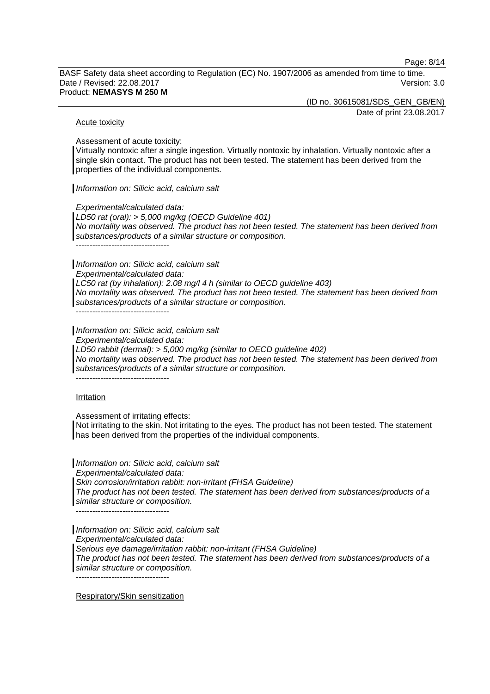Page: 8/14

BASF Safety data sheet according to Regulation (EC) No. 1907/2006 as amended from time to time. Date / Revised: 22.08.2017 Version: 3.0 Product: **NEMASYS M 250 M** 

> (ID no. 30615081/SDS\_GEN\_GB/EN) Date of print 23.08.2017

#### Acute toxicity

Assessment of acute toxicity:

Virtually nontoxic after a single ingestion. Virtually nontoxic by inhalation. Virtually nontoxic after a single skin contact. The product has not been tested. The statement has been derived from the properties of the individual components.

*Information on: Silicic acid, calcium salt*

*Experimental/calculated data:* 

*LD50 rat (oral): > 5,000 mg/kg (OECD Guideline 401) No mortality was observed. The product has not been tested. The statement has been derived from substances/products of a similar structure or composition.*  ----------------------------------

*Information on: Silicic acid, calcium salt* 

*Experimental/calculated data:* 

*LC50 rat (by inhalation): 2.08 mg/l 4 h (similar to OECD guideline 403) No mortality was observed. The product has not been tested. The statement has been derived from substances/products of a similar structure or composition.* 

 $-$ 

*Information on: Silicic acid, calcium salt* 

*Experimental/calculated data:* 

*LD50 rabbit (dermal): > 5,000 mg/kg (similar to OECD guideline 402)* 

*No mortality was observed. The product has not been tested. The statement has been derived from substances/products of a similar structure or composition.* 

----------------------------------

#### Irritation

Assessment of irritating effects:

Not irritating to the skin. Not irritating to the eyes. The product has not been tested. The statement has been derived from the properties of the individual components.

*Information on: Silicic acid, calcium salt Experimental/calculated data: Skin corrosion/irritation rabbit: non-irritant (FHSA Guideline) The product has not been tested. The statement has been derived from substances/products of a similar structure or composition.*   $-$ 

*Information on: Silicic acid, calcium salt Experimental/calculated data: Serious eye damage/irritation rabbit: non-irritant (FHSA Guideline) The product has not been tested. The statement has been derived from substances/products of a similar structure or composition.*  ----------------------------------

Respiratory/Skin sensitization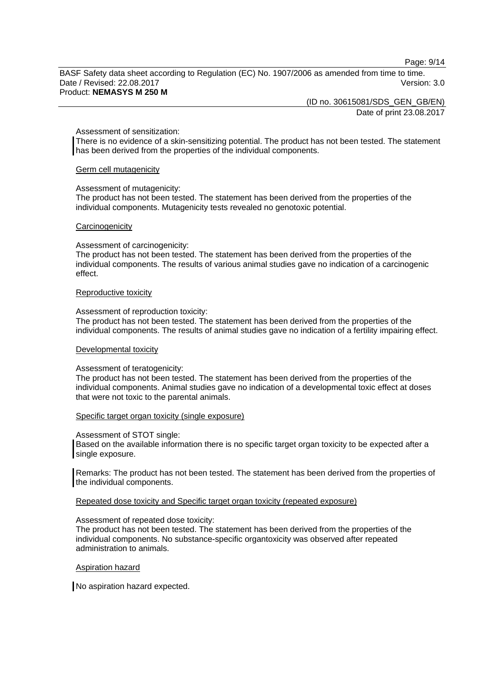Page: 9/14

BASF Safety data sheet according to Regulation (EC) No. 1907/2006 as amended from time to time. Date / Revised: 22.08.2017 Version: 3.0 Product: **NEMASYS M 250 M** 

(ID no. 30615081/SDS\_GEN\_GB/EN)

Date of print 23.08.2017

#### Assessment of sensitization:

There is no evidence of a skin-sensitizing potential. The product has not been tested. The statement has been derived from the properties of the individual components.

#### Germ cell mutagenicity

#### Assessment of mutagenicity:

The product has not been tested. The statement has been derived from the properties of the individual components. Mutagenicity tests revealed no genotoxic potential.

#### **Carcinogenicity**

#### Assessment of carcinogenicity:

The product has not been tested. The statement has been derived from the properties of the individual components. The results of various animal studies gave no indication of a carcinogenic effect.

#### Reproductive toxicity

#### Assessment of reproduction toxicity:

The product has not been tested. The statement has been derived from the properties of the individual components. The results of animal studies gave no indication of a fertility impairing effect.

#### Developmental toxicity

#### Assessment of teratogenicity:

The product has not been tested. The statement has been derived from the properties of the individual components. Animal studies gave no indication of a developmental toxic effect at doses that were not toxic to the parental animals.

#### Specific target organ toxicity (single exposure)

#### Assessment of STOT single:

Based on the available information there is no specific target organ toxicity to be expected after a single exposure.

Remarks: The product has not been tested. The statement has been derived from the properties of the individual components.

#### Repeated dose toxicity and Specific target organ toxicity (repeated exposure)

#### Assessment of repeated dose toxicity:

The product has not been tested. The statement has been derived from the properties of the individual components. No substance-specific organtoxicity was observed after repeated administration to animals.

#### Aspiration hazard

No aspiration hazard expected.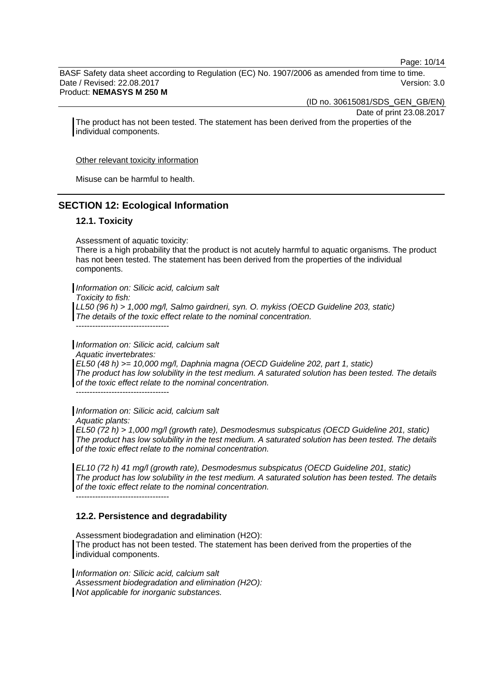Page: 10/14

BASF Safety data sheet according to Regulation (EC) No. 1907/2006 as amended from time to time. Date / Revised: 22.08.2017 Version: 3.0 Product: **NEMASYS M 250 M** 

(ID no. 30615081/SDS\_GEN\_GB/EN)

Date of print 23.08.2017

The product has not been tested. The statement has been derived from the properties of the individual components.

Other relevant toxicity information

Misuse can be harmful to health.

## **SECTION 12: Ecological Information**

#### **12.1. Toxicity**

Assessment of aquatic toxicity:

There is a high probability that the product is not acutely harmful to aquatic organisms. The product has not been tested. The statement has been derived from the properties of the individual components.

*Information on: Silicic acid, calcium salt* 

*Toxicity to fish:* 

*LL50 (96 h) > 1,000 mg/l, Salmo gairdneri, syn. O. mykiss (OECD Guideline 203, static) The details of the toxic effect relate to the nominal concentration.* 

----------------------------------

*Information on: Silicic acid, calcium salt Aquatic invertebrates: EL50 (48 h) >= 10,000 mg/l, Daphnia magna (OECD Guideline 202, part 1, static) The product has low solubility in the test medium. A saturated solution has been tested. The details of the toxic effect relate to the nominal concentration.* 

----------------------------------

*Information on: Silicic acid, calcium salt Aquatic plants:* 

*EL50 (72 h) > 1,000 mg/l (growth rate), Desmodesmus subspicatus (OECD Guideline 201, static) The product has low solubility in the test medium. A saturated solution has been tested. The details of the toxic effect relate to the nominal concentration.* 

*EL10 (72 h) 41 mg/l (growth rate), Desmodesmus subspicatus (OECD Guideline 201, static) The product has low solubility in the test medium. A saturated solution has been tested. The details of the toxic effect relate to the nominal concentration.*  ----------------------------------

#### **12.2. Persistence and degradability**

Assessment biodegradation and elimination (H2O): The product has not been tested. The statement has been derived from the properties of the individual components.

*Information on: Silicic acid, calcium salt Assessment biodegradation and elimination (H2O): Not applicable for inorganic substances.*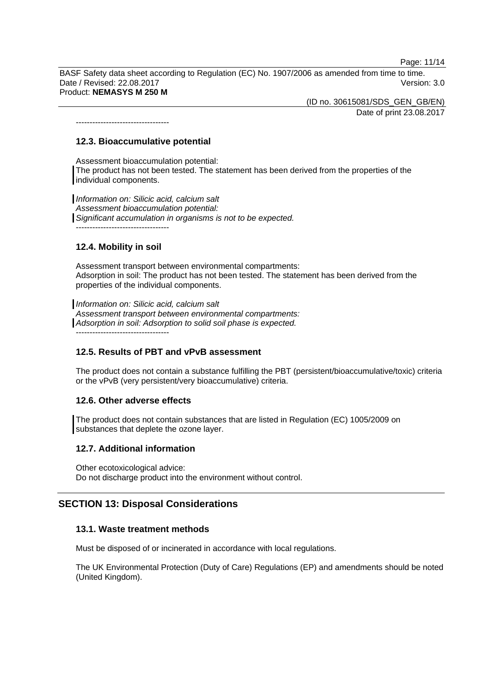Page: 11/14

BASF Safety data sheet according to Regulation (EC) No. 1907/2006 as amended from time to time. Date / Revised: 22.08.2017 Version: 3.0 Product: **NEMASYS M 250 M** 

> (ID no. 30615081/SDS\_GEN\_GB/EN) Date of print 23.08.2017

**12.3. Bioaccumulative potential** 

----------------------------------

Assessment bioaccumulation potential: The product has not been tested. The statement has been derived from the properties of the individual components.

*Information on: Silicic acid, calcium salt Assessment bioaccumulation potential: Significant accumulation in organisms is not to be expected.*  ----------------------------------

#### **12.4. Mobility in soil**

Assessment transport between environmental compartments: Adsorption in soil: The product has not been tested. The statement has been derived from the properties of the individual components.

*Information on: Silicic acid, calcium salt Assessment transport between environmental compartments: Adsorption in soil: Adsorption to solid soil phase is expected.* ----------------------------------

## **12.5. Results of PBT and vPvB assessment**

The product does not contain a substance fulfilling the PBT (persistent/bioaccumulative/toxic) criteria or the vPvB (very persistent/very bioaccumulative) criteria.

#### **12.6. Other adverse effects**

The product does not contain substances that are listed in Regulation (EC) 1005/2009 on substances that deplete the ozone layer.

#### **12.7. Additional information**

Other ecotoxicological advice: Do not discharge product into the environment without control.

## **SECTION 13: Disposal Considerations**

#### **13.1. Waste treatment methods**

Must be disposed of or incinerated in accordance with local regulations.

The UK Environmental Protection (Duty of Care) Regulations (EP) and amendments should be noted (United Kingdom).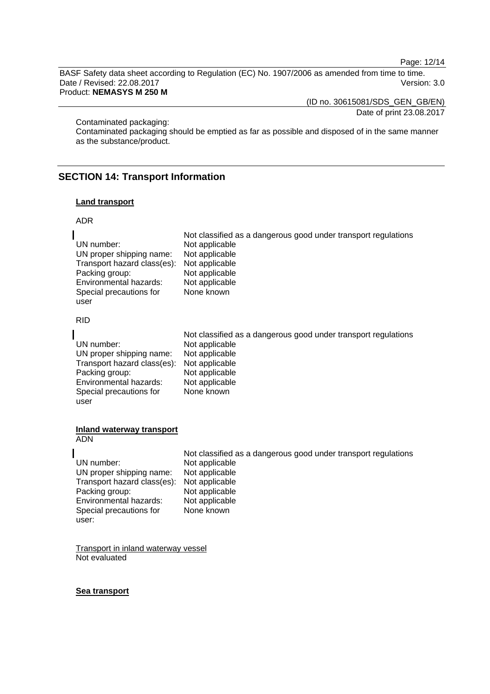Page: 12/14

BASF Safety data sheet according to Regulation (EC) No. 1907/2006 as amended from time to time. Date / Revised: 22.08.2017 Version: 3.0

Product: **NEMASYS M 250 M** 

(ID no. 30615081/SDS\_GEN\_GB/EN)

Date of print 23.08.2017

Contaminated packaging:

Contaminated packaging should be emptied as far as possible and disposed of in the same manner as the substance/product.

## **SECTION 14: Transport Information**

#### **Land transport**

#### ADR

|                                            | Not classified as a dangerous good under transport regulations |
|--------------------------------------------|----------------------------------------------------------------|
| UN number:                                 | Not applicable                                                 |
| UN proper shipping name:                   | Not applicable                                                 |
| Transport hazard class(es): Not applicable |                                                                |
| Packing group:                             | Not applicable                                                 |
| Environmental hazards:                     | Not applicable                                                 |
| Special precautions for                    | None known                                                     |
| user                                       |                                                                |

RID

|                                            | Not classified as a dangerous good under transport regulations |
|--------------------------------------------|----------------------------------------------------------------|
| UN number:                                 | Not applicable                                                 |
| UN proper shipping name:                   | Not applicable                                                 |
| Transport hazard class(es): Not applicable |                                                                |
| Packing group:                             | Not applicable                                                 |
| Environmental hazards:                     | Not applicable                                                 |
| Special precautions for                    | None known                                                     |
| user                                       |                                                                |

#### **Inland waterway transport**  ADN

user:

 Not classified as a dangerous good under transport regulations UN number: Not applicable<br>UN proper shipping name: Not applicable UN proper shipping name: Not applicable<br>Transport hazard class(es): Not applicable Transport hazard class(es): Not applicable<br>Packing group: Not applicable Packing group: Not applicable<br>
Environmental hazards: Not applicable Environmental hazards: Special precautions for None known

Transport in inland waterway vessel Not evaluated

#### **Sea transport**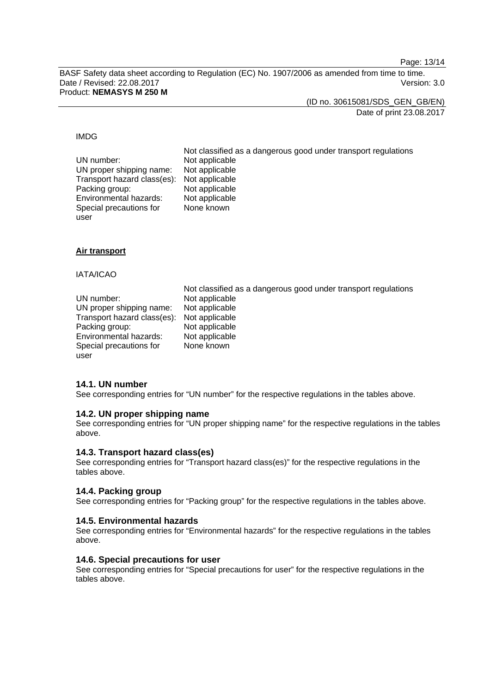Page: 13/14

BASF Safety data sheet according to Regulation (EC) No. 1907/2006 as amended from time to time. Date / Revised: 22.08.2017 Version: 3.0 Product: **NEMASYS M 250 M** 

(ID no. 30615081/SDS\_GEN\_GB/EN)

Date of print 23.08.2017

#### IMDG

| UN number:                                 | Not classified as a dangerous good under transport regulations<br>Not applicable |
|--------------------------------------------|----------------------------------------------------------------------------------|
| UN proper shipping name:                   | Not applicable                                                                   |
| Transport hazard class(es): Not applicable |                                                                                  |
| Packing group:                             | Not applicable                                                                   |
| Environmental hazards:                     | Not applicable                                                                   |
| Special precautions for                    | None known                                                                       |
| user                                       |                                                                                  |

#### **Air transport**

#### IATA/ICAO

user

|                                            | Not classified as a dangerous good under transport regulations |
|--------------------------------------------|----------------------------------------------------------------|
| UN number:                                 | Not applicable                                                 |
| UN proper shipping name:                   | Not applicable                                                 |
| Transport hazard class(es): Not applicable |                                                                |
| Packing group:                             | Not applicable                                                 |
| Environmental hazards:                     | Not applicable                                                 |
| Special precautions for                    | None known                                                     |

#### **14.1. UN number**

See corresponding entries for "UN number" for the respective regulations in the tables above.

#### **14.2. UN proper shipping name**

See corresponding entries for "UN proper shipping name" for the respective regulations in the tables above.

#### **14.3. Transport hazard class(es)**

See corresponding entries for "Transport hazard class(es)" for the respective regulations in the tables above.

#### **14.4. Packing group**

See corresponding entries for "Packing group" for the respective regulations in the tables above.

#### **14.5. Environmental hazards**

See corresponding entries for "Environmental hazards" for the respective regulations in the tables above.

#### **14.6. Special precautions for user**

See corresponding entries for "Special precautions for user" for the respective regulations in the tables above.